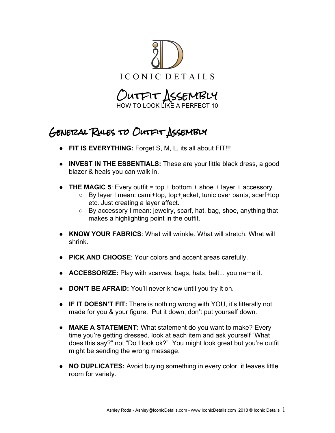

HOW TO LOOK LIKE A PEF

## General Rules to Outfit Assembly

- **FIT IS EVERYTHING:** Forget S, M, L, its all about FIT!!!
- **INVEST IN THE ESSENTIALS:** These are your little black dress, a good blazer & heals you can walk in.
- **THE MAGIC 5**: Every outfit = top + bottom + shoe + layer + accessory.<br>
By layer I mean: cami+top, top+iacket, tunic over pants, scarf+to
	- By layer I mean: cami+top, top+jacket, tunic over pants, scarf+top etc. Just creating a layer affect.
	- By accessory I mean: jewelry, scarf, hat, bag, shoe, anything that makes a highlighting point in the outfit.
- **KNOW YOUR FABRICS**: What will wrinkle. What will stretch. What will shrink.
- **PICK AND CHOOSE**: Your colors and accent areas carefully.
- **ACCESSORIZE:** Play with scarves, bags, hats, belt... you name it.
- **DON'T BE AFRAID:** You'll never know until you try it on.
- **IF IT DOESN'T FIT:** There is nothing wrong with YOU, it's litterally not made for you & your figure. Put it down, don't put yourself down.
- **MAKE A STATEMENT:** What statement do you want to make? Every time you're getting dressed, look at each item and ask yourself "What does this say?" not "Do I look ok?" You might look great but you're outfit might be sending the wrong message.
- **NO DUPLICATES:** Avoid buying something in every color, it leaves little room for variety.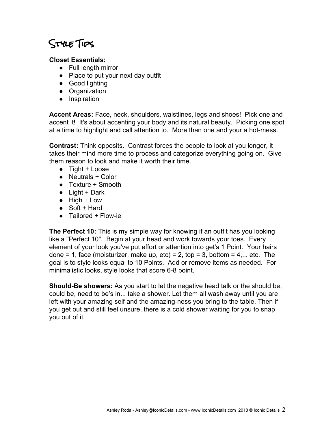## Style Tips

## **Closet Essentials:**

- Full length mirror
- Place to put your next day outfit
- Good lighting
- Organization
- Inspiration

**Accent Areas:** Face, neck, shoulders, waistlines, legs and shoes! Pick one and accent it! It's about accenting your body and its natural beauty. Picking one spot at a time to highlight and call attention to. More than one and your a hot-mess.

**Contrast:** Think opposits. Contrast forces the people to look at you longer, it takes their mind more time to process and categorize everything going on. Give them reason to look and make it worth their time.

- Tight + Loose
- Neutrals + Color
- Texture + Smooth
- $\bullet$  Light + Dark
- High + Low
- Soft + Hard
- Tailored + Flow-ie

**The Perfect 10:** This is my simple way for knowing if an outfit has you looking like a "Perfect 10". Begin at your head and work towards your toes. Every element of your look you've put effort or attention into get's 1 Point. Your hairs done = 1, face (moisturizer, make up, etc) = 2, top = 3, bottom =  $4...$  etc. The goal is to style looks equal to 10 Points. Add or remove items as needed. For minimalistic looks, style looks that score 6-8 point.

**Should-Be showers:** As you start to let the negative head talk or the should be, could be, need to be's in... take a shower. Let them all wash away until you are left with your amazing self and the amazing-ness you bring to the table. Then if you get out and still feel unsure, there is a cold shower waiting for you to snap you out of it.